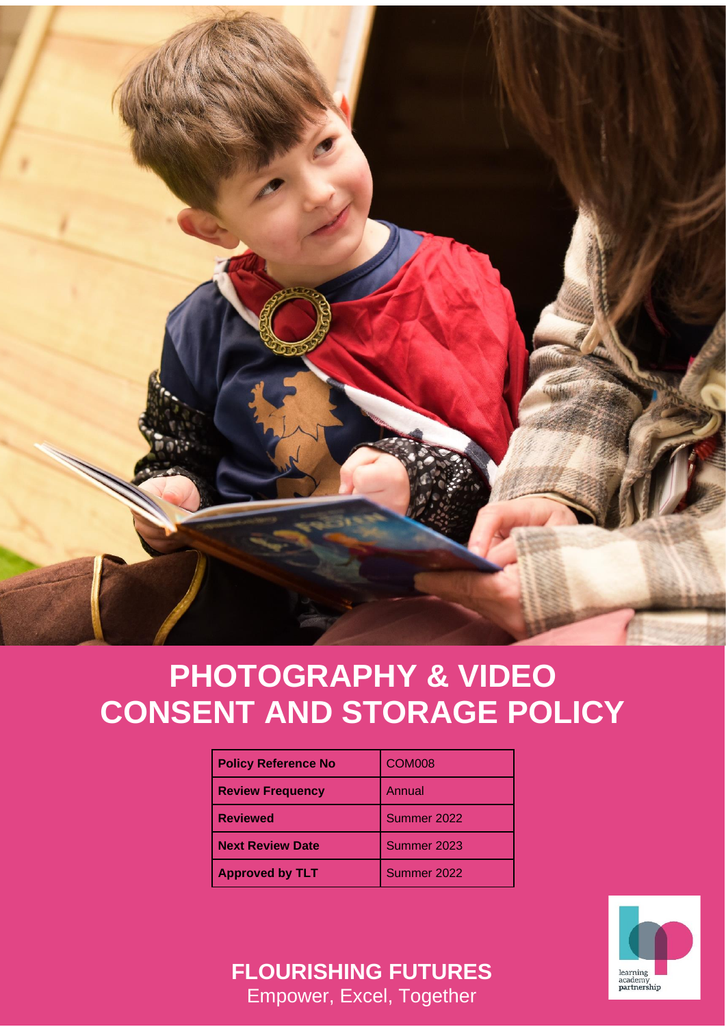

# **PHOTOGRAPHY & VIDEO CONSENT AND STORAGE POLICY**

| <b>Policy Reference No</b> | COM <sub>008</sub> |
|----------------------------|--------------------|
| <b>Review Frequency</b>    | Annual             |
| <b>Reviewed</b>            | Summer 2022        |
| <b>Next Review Date</b>    | Summer 2023        |
| <b>Approved by TLT</b>     | Summer 2022        |



**FLOURISHING FUTURES** Empower, Excel, Together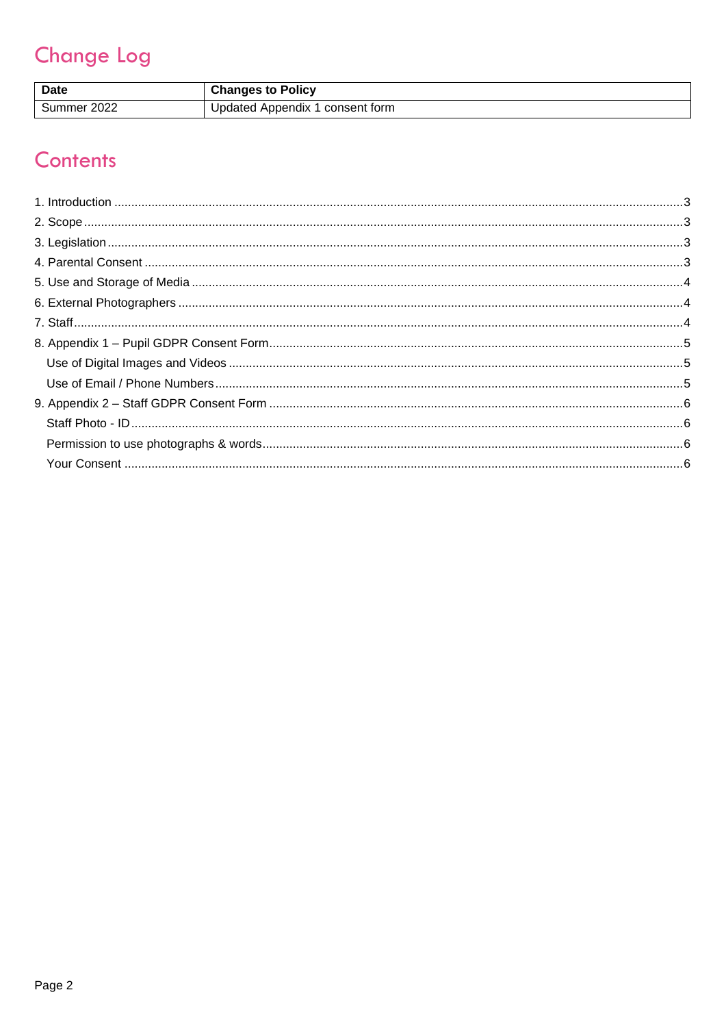# **Change Log**

| <b>Date</b> | <b>Changes to Policy</b>        |
|-------------|---------------------------------|
| Summer 2022 | Updated Appendix 1 consent form |

## Contents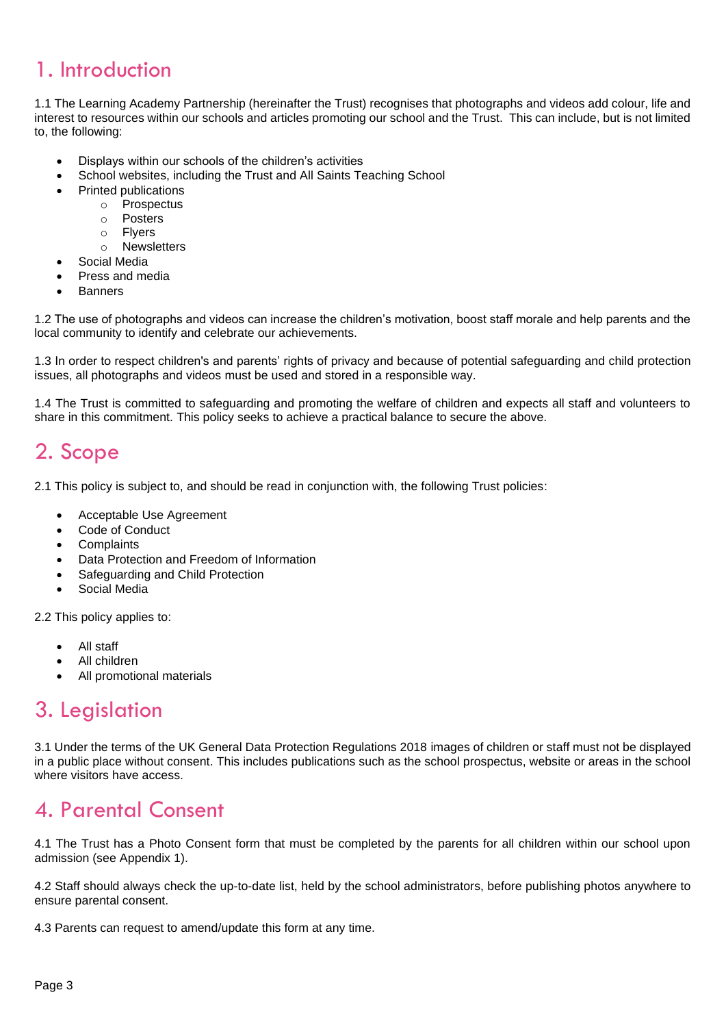### <span id="page-2-0"></span>1. Introduction

1.1 The Learning Academy Partnership (hereinafter the Trust) recognises that photographs and videos add colour, life and interest to resources within our schools and articles promoting our school and the Trust. This can include, but is not limited to, the following:

- Displays within our schools of the children's activities
- School websites, including the Trust and All Saints Teaching School
- Printed publications
	- o Prospectus
		- o Posters
		- o Flyers
		- o Newsletters
- Social Media
- Press and media
- Banners

1.2 The use of photographs and videos can increase the children's motivation, boost staff morale and help parents and the local community to identify and celebrate our achievements.

1.3 In order to respect children's and parents' rights of privacy and because of potential safeguarding and child protection issues, all photographs and videos must be used and stored in a responsible way.

1.4 The Trust is committed to safeguarding and promoting the welfare of children and expects all staff and volunteers to share in this commitment. This policy seeks to achieve a practical balance to secure the above.

#### <span id="page-2-1"></span>2. Scope

2.1 This policy is subject to, and should be read in conjunction with, the following Trust policies:

- Acceptable Use Agreement
- Code of Conduct
- **Complaints**
- Data Protection and Freedom of Information
- Safeguarding and Child Protection
- Social Media

2.2 This policy applies to:

- All staff
- All children
- All promotional materials

#### <span id="page-2-2"></span>3. Legislation

3.1 Under the terms of the UK General Data Protection Regulations 2018 images of children or staff must not be displayed in a public place without consent. This includes publications such as the school prospectus, website or areas in the school where visitors have access.

### <span id="page-2-3"></span>4. Parental Consent

4.1 The Trust has a Photo Consent form that must be completed by the parents for all children within our school upon admission (see Appendix 1).

4.2 Staff should always check the up-to-date list, held by the school administrators, before publishing photos anywhere to ensure parental consent.

4.3 Parents can request to amend/update this form at any time.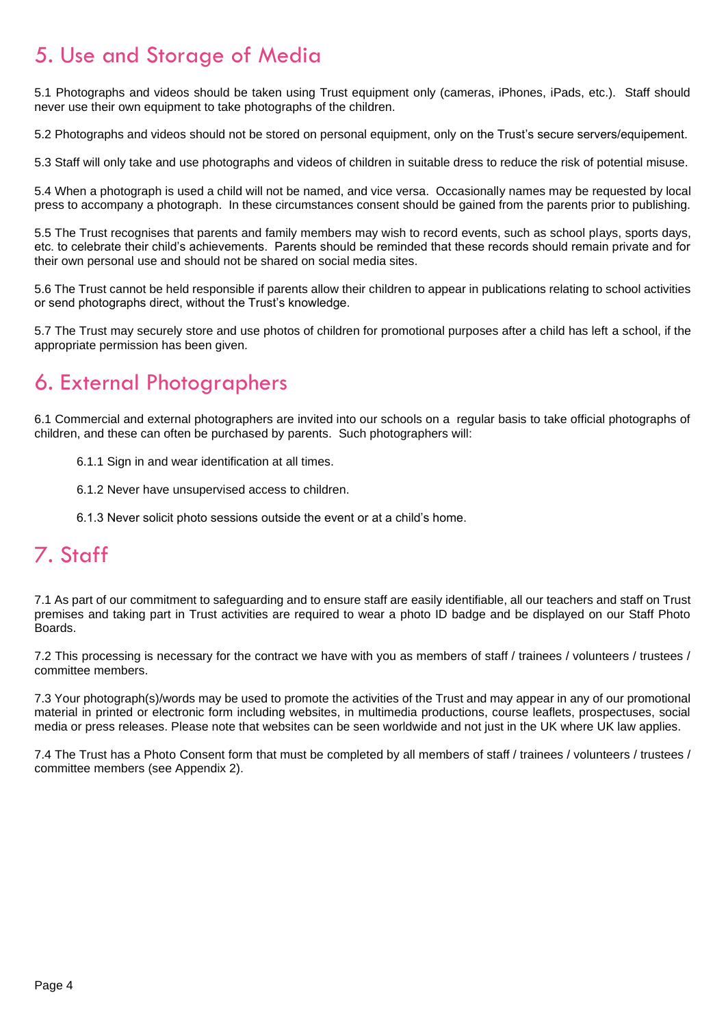### <span id="page-3-0"></span>5. Use and Storage of Media

5.1 Photographs and videos should be taken using Trust equipment only (cameras, iPhones, iPads, etc.). Staff should never use their own equipment to take photographs of the children.

5.2 Photographs and videos should not be stored on personal equipment, only on the Trust's secure servers/equipement.

5.3 Staff will only take and use photographs and videos of children in suitable dress to reduce the risk of potential misuse.

5.4 When a photograph is used a child will not be named, and vice versa. Occasionally names may be requested by local press to accompany a photograph. In these circumstances consent should be gained from the parents prior to publishing.

5.5 The Trust recognises that parents and family members may wish to record events, such as school plays, sports days, etc. to celebrate their child's achievements. Parents should be reminded that these records should remain private and for their own personal use and should not be shared on social media sites.

5.6 The Trust cannot be held responsible if parents allow their children to appear in publications relating to school activities or send photographs direct, without the Trust's knowledge.

5.7 The Trust may securely store and use photos of children for promotional purposes after a child has left a school, if the appropriate permission has been given.

### <span id="page-3-1"></span>6. External Photographers

6.1 Commercial and external photographers are invited into our schools on a regular basis to take official photographs of children, and these can often be purchased by parents. Such photographers will:

- 6.1.1 Sign in and wear identification at all times.
- 6.1.2 Never have unsupervised access to children.
- 6.1.3 Never solicit photo sessions outside the event or at a child's home.

#### <span id="page-3-2"></span>7. Staff

7.1 As part of our commitment to safeguarding and to ensure staff are easily identifiable, all our teachers and staff on Trust premises and taking part in Trust activities are required to wear a photo ID badge and be displayed on our Staff Photo Boards.

7.2 This processing is necessary for the contract we have with you as members of staff / trainees / volunteers / trustees / committee members.

7.3 Your photograph(s)/words may be used to promote the activities of the Trust and may appear in any of our promotional material in printed or electronic form including websites, in multimedia productions, course leaflets, prospectuses, social media or press releases. Please note that websites can be seen worldwide and not just in the UK where UK law applies.

7.4 The Trust has a Photo Consent form that must be completed by all members of staff / trainees / volunteers / trustees / committee members (see Appendix 2).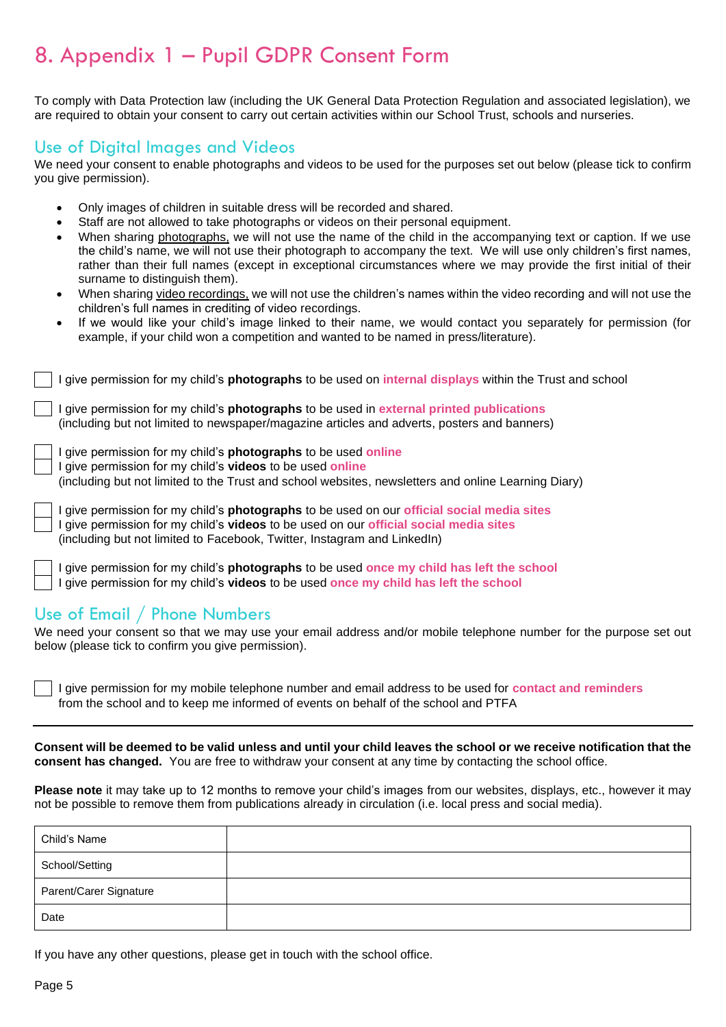### <span id="page-4-0"></span>8. Appendix 1 – Pupil GDPR Consent Form

To comply with Data Protection law (including the UK General Data Protection Regulation and associated legislation), we are required to obtain your consent to carry out certain activities within our School Trust, schools and nurseries.

#### <span id="page-4-1"></span>Use of Digital Images and Videos

We need your consent to enable photographs and videos to be used for the purposes set out below (please tick to confirm you give permission).

- Only images of children in suitable dress will be recorded and shared.
- Staff are not allowed to take photographs or videos on their personal equipment.
- When sharing photographs, we will not use the name of the child in the accompanying text or caption. If we use the child's name, we will not use their photograph to accompany the text. We will use only children's first names, rather than their full names (except in exceptional circumstances where we may provide the first initial of their surname to distinguish them).
- When sharing video recordings, we will not use the children's names within the video recording and will not use the children's full names in crediting of video recordings.
- If we would like your child's image linked to their name, we would contact you separately for permission (for example, if your child won a competition and wanted to be named in press/literature).

| I give permission for my child's <b>photographs</b> to be used on <b>internal displays</b> within the Trust and school                                                                                                                                                 |
|------------------------------------------------------------------------------------------------------------------------------------------------------------------------------------------------------------------------------------------------------------------------|
| I give permission for my child's <b>photographs</b> to be used in external printed publications<br>(including but not limited to newspaper/magazine articles and adverts, posters and banners)                                                                         |
| I give permission for my child's <b>photographs</b> to be used <b>online</b><br>I give permission for my child's videos to be used online<br>(including but not limited to the Trust and school websites, newsletters and online Learning Diary)                       |
| I give permission for my child's <b>photographs</b> to be used on our official social media sites<br>I give permission for my child's videos to be used on our official social media sites<br>(including but not limited to Facebook, Twitter, Instagram and LinkedIn) |

I give permission for my child's **photographs** to be used **once my child has left the school** I give permission for my child's **videos** to be used **once my child has left the school**

#### <span id="page-4-2"></span>Use of Email / Phone Numbers

We need your consent so that we may use your email address and/or mobile telephone number for the purpose set out below (please tick to confirm you give permission).

I give permission for my mobile telephone number and email address to be used for **contact and reminders** from the school and to keep me informed of events on behalf of the school and PTFA

**Consent will be deemed to be valid unless and until your child leaves the school or we receive notification that the consent has changed.** You are free to withdraw your consent at any time by contacting the school office.

**Please note** it may take up to 12 months to remove your child's images from our websites, displays, etc., however it may not be possible to remove them from publications already in circulation (i.e. local press and social media).

| Child's Name           |  |
|------------------------|--|
| School/Setting         |  |
| Parent/Carer Signature |  |
| Date                   |  |

If you have any other questions, please get in touch with the school office.